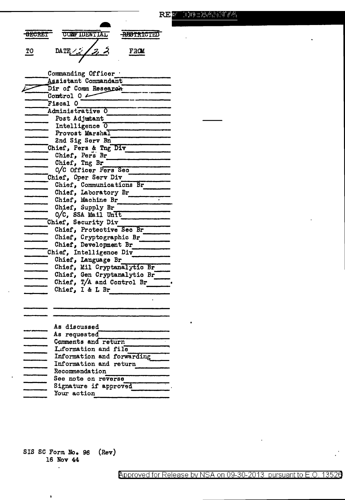| <b>SECRET</b> | <b>CONFIDENTIAL</b> | <b>ABSTRICTED</b> |  |
|---------------|---------------------|-------------------|--|
| ጥጠ            | DATE / $22$         | F3ON              |  |

Commanding Officer . Assistant Commandant Dir of Comm Research Control  $0 \longleftarrow$ Fiscal O Administrative O Post Adjutant Intelligence 0 Provost Marshal 2nd Sig Serv Bn Chief, Pers & Tng Div Chief, Pers Br Chief, Tng Br O/C Officer Fers Sec Chief, Oper Serv Div Chief, Communications Br Chief, Laboratory Br Chief, Machine Br Chief, Supply Br  $0/C$ , SSA Mail Unit Chief, Security Div Chief, Protective Sec Br Chief, Cryptographic Br Chief, Development Br Chief, Intelligence Div Chief, Language Br Chief, Mil Cryptanalytic Br Chief, Gen Cryptanalytic Br Chief,  $T/A$  and Control Br Chief, I & L Br As discussed **11111111** 

| As requested               |  |
|----------------------------|--|
| Comments and return        |  |
| L.formation and file       |  |
| Information and forwarding |  |
| Information and return     |  |
| Recommendation             |  |
| See note on reverse        |  |
| Signature if approved      |  |
| Your action                |  |
|                            |  |

SIS SC Form No. 96  $(\text{Rev})$ 16 Nov 44